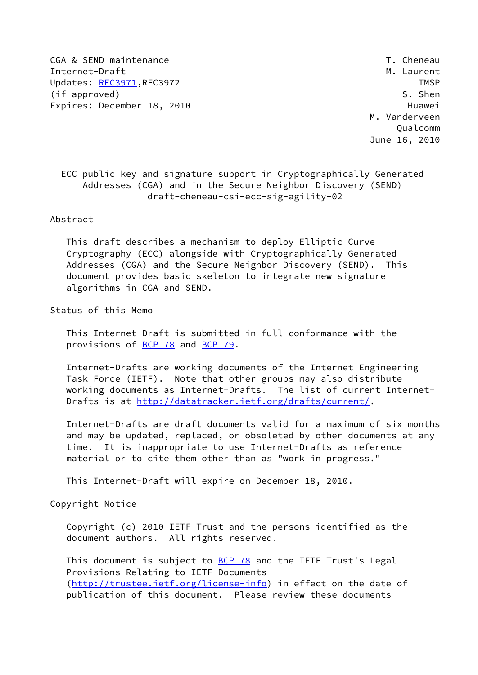CGA & SEND maintenance  $\overline{C}$  and  $\overline{C}$  and  $\overline{C}$  and  $\overline{C}$  are  $\overline{C}$  and  $\overline{C}$  are  $\overline{C}$  and  $\overline{C}$  are  $\overline{C}$  and  $\overline{C}$  are  $\overline{C}$  and  $\overline{C}$  are  $\overline{C}$  and  $\overline{C}$  are  $\overline{C}$  and  $\overline$ Internet-Draft Metal Metal Metal Metal Metal Metal Metal Metal Metal Metal Metal Metal Metal Metal Metal Metal Updates: [RFC3971](https://datatracker.ietf.org/doc/pdf/rfc3971),RFC3972 TMSP (if approved) S. Shen Expires: December 18, 2010 **Huawei** 

 M. Vanderveen Qualcomm June 16, 2010

 ECC public key and signature support in Cryptographically Generated Addresses (CGA) and in the Secure Neighbor Discovery (SEND) draft-cheneau-csi-ecc-sig-agility-02

## Abstract

 This draft describes a mechanism to deploy Elliptic Curve Cryptography (ECC) alongside with Cryptographically Generated Addresses (CGA) and the Secure Neighbor Discovery (SEND). This document provides basic skeleton to integrate new signature algorithms in CGA and SEND.

Status of this Memo

 This Internet-Draft is submitted in full conformance with the provisions of [BCP 78](https://datatracker.ietf.org/doc/pdf/bcp78) and [BCP 79](https://datatracker.ietf.org/doc/pdf/bcp79).

 Internet-Drafts are working documents of the Internet Engineering Task Force (IETF). Note that other groups may also distribute working documents as Internet-Drafts. The list of current Internet- Drafts is at<http://datatracker.ietf.org/drafts/current/>.

 Internet-Drafts are draft documents valid for a maximum of six months and may be updated, replaced, or obsoleted by other documents at any time. It is inappropriate to use Internet-Drafts as reference material or to cite them other than as "work in progress."

This Internet-Draft will expire on December 18, 2010.

Copyright Notice

 Copyright (c) 2010 IETF Trust and the persons identified as the document authors. All rights reserved.

This document is subject to **[BCP 78](https://datatracker.ietf.org/doc/pdf/bcp78)** and the IETF Trust's Legal Provisions Relating to IETF Documents [\(http://trustee.ietf.org/license-info](http://trustee.ietf.org/license-info)) in effect on the date of publication of this document. Please review these documents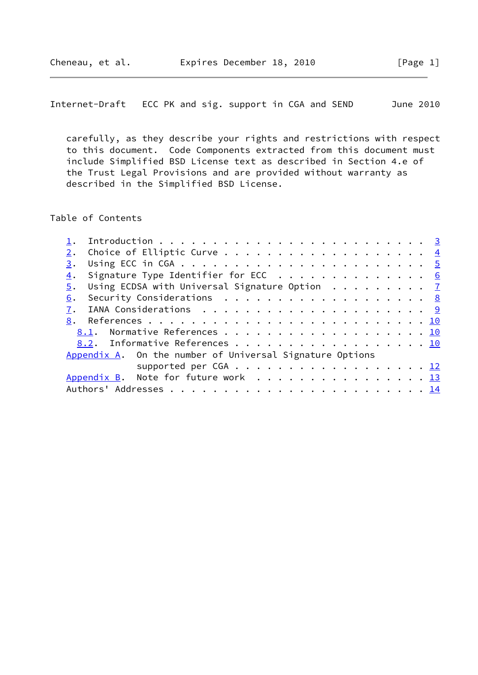carefully, as they describe your rights and restrictions with respect to this document. Code Components extracted from this document must include Simplified BSD License text as described in Section 4.e of the Trust Legal Provisions and are provided without warranty as described in the Simplified BSD License.

Table of Contents

| 3. |                                                              |                      |  |  |  |  |  |  |  |  |  |  |
|----|--------------------------------------------------------------|----------------------|--|--|--|--|--|--|--|--|--|--|
| 4. | Signature Type Identifier for ECC 6                          |                      |  |  |  |  |  |  |  |  |  |  |
|    | 5. Using ECDSA with Universal Signature Option $\frac{7}{2}$ |                      |  |  |  |  |  |  |  |  |  |  |
| 6. |                                                              |                      |  |  |  |  |  |  |  |  |  |  |
|    |                                                              |                      |  |  |  |  |  |  |  |  |  |  |
|    |                                                              |                      |  |  |  |  |  |  |  |  |  |  |
|    | 8.1. Normative References 10                                 |                      |  |  |  |  |  |  |  |  |  |  |
|    | 8.2. Informative References 10                               |                      |  |  |  |  |  |  |  |  |  |  |
|    | Appendix A. On the number of Universal Signature Options     |                      |  |  |  |  |  |  |  |  |  |  |
|    |                                                              | supported per CGA 12 |  |  |  |  |  |  |  |  |  |  |
|    | Appendix B. Note for future work 13                          |                      |  |  |  |  |  |  |  |  |  |  |
|    |                                                              |                      |  |  |  |  |  |  |  |  |  |  |
|    |                                                              |                      |  |  |  |  |  |  |  |  |  |  |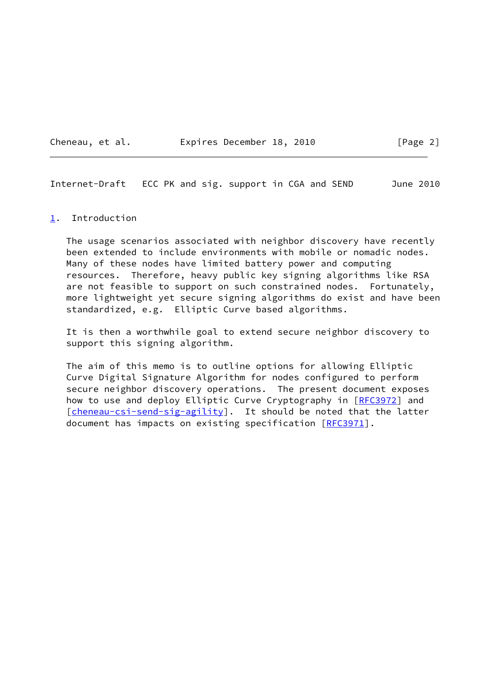Cheneau, et al. **Expires December 18, 2010** [Page 2]

<span id="page-2-1"></span>Internet-Draft ECC PK and sig. support in CGA and SEND June 2010

### <span id="page-2-0"></span>[1](#page-2-0). Introduction

 The usage scenarios associated with neighbor discovery have recently been extended to include environments with mobile or nomadic nodes. Many of these nodes have limited battery power and computing resources. Therefore, heavy public key signing algorithms like RSA are not feasible to support on such constrained nodes. Fortunately, more lightweight yet secure signing algorithms do exist and have been standardized, e.g. Elliptic Curve based algorithms.

 It is then a worthwhile goal to extend secure neighbor discovery to support this signing algorithm.

 The aim of this memo is to outline options for allowing Elliptic Curve Digital Signature Algorithm for nodes configured to perform secure neighbor discovery operations. The present document exposes how to use and deploy Elliptic Curve Cryptography in [\[RFC3972](https://datatracker.ietf.org/doc/pdf/rfc3972)] and [\[cheneau-csi-send-sig-agility](#page-10-4)]. It should be noted that the latter document has impacts on existing specification [\[RFC3971](https://datatracker.ietf.org/doc/pdf/rfc3971)].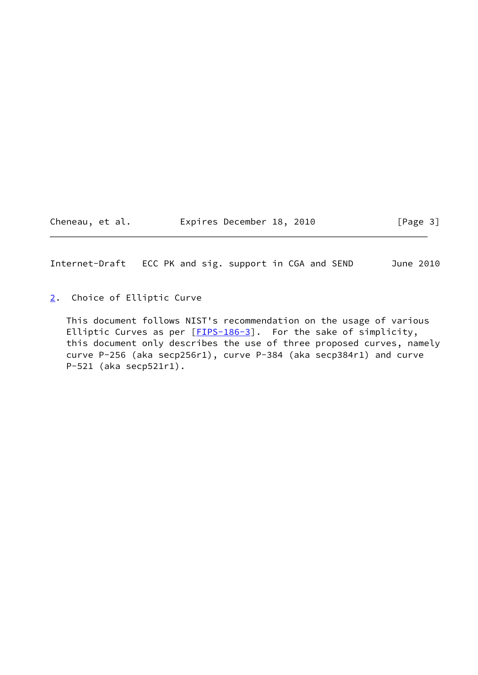Cheneau, et al. **Expires December 18, 2010** [Page 3]

<span id="page-3-1"></span>Internet-Draft ECC PK and sig. support in CGA and SEND June 2010

<span id="page-3-0"></span>[2](#page-3-0). Choice of Elliptic Curve

 This document follows NIST's recommendation on the usage of various Elliptic Curves as per [\[FIPS-186-3](#page-11-0)]. For the sake of simplicity, this document only describes the use of three proposed curves, namely curve P-256 (aka secp256r1), curve P-384 (aka secp384r1) and curve P-521 (aka secp521r1).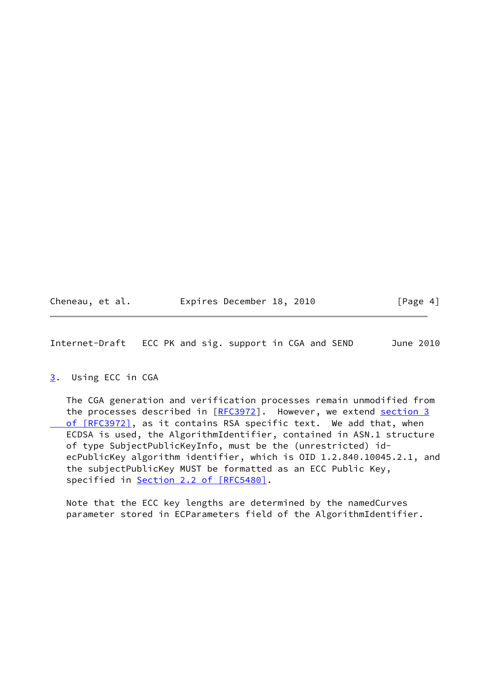<span id="page-4-1"></span>

| Cheneau, et al. | Expires December 18, 2010 |  | [Page 4] |
|-----------------|---------------------------|--|----------|
|-----------------|---------------------------|--|----------|

<span id="page-4-0"></span>[3](#page-4-0). Using ECC in CGA

 The CGA generation and verification processes remain unmodified from the processes described in  $[REC3972]$ . However, we extend [section](https://datatracker.ietf.org/doc/pdf/rfc3972#section-3) 3 of [RFC3972], as it contains RSA specific text. We add that, when ECDSA is used, the AlgorithmIdentifier, contained in ASN.1 structure of type SubjectPublicKeyInfo, must be the (unrestricted) id ecPublicKey algorithm identifier, which is OID 1.2.840.10045.2.1, and the subjectPublicKey MUST be formatted as an ECC Public Key, specified in **Section [2.2 of \[RFC5480\]](https://datatracker.ietf.org/doc/pdf/rfc5480#section-2.2)**.

 Note that the ECC key lengths are determined by the namedCurves parameter stored in ECParameters field of the AlgorithmIdentifier.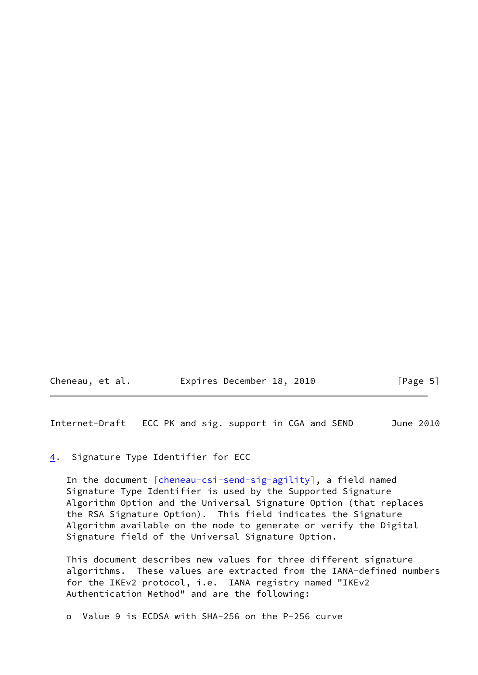<span id="page-5-1"></span>

| Cheneau, et al. | Expires December 18, 2010 | [Page 5] |
|-----------------|---------------------------|----------|
|-----------------|---------------------------|----------|

<span id="page-5-0"></span>[4](#page-5-0). Signature Type Identifier for ECC

In the document [\[cheneau-csi-send-sig-agility](#page-10-4)], a field named Signature Type Identifier is used by the Supported Signature Algorithm Option and the Universal Signature Option (that replaces the RSA Signature Option). This field indicates the Signature Algorithm available on the node to generate or verify the Digital Signature field of the Universal Signature Option.

 This document describes new values for three different signature algorithms. These values are extracted from the IANA-defined numbers for the IKEv2 protocol, i.e. IANA registry named "IKEv2 Authentication Method" and are the following:

o Value 9 is ECDSA with SHA-256 on the P-256 curve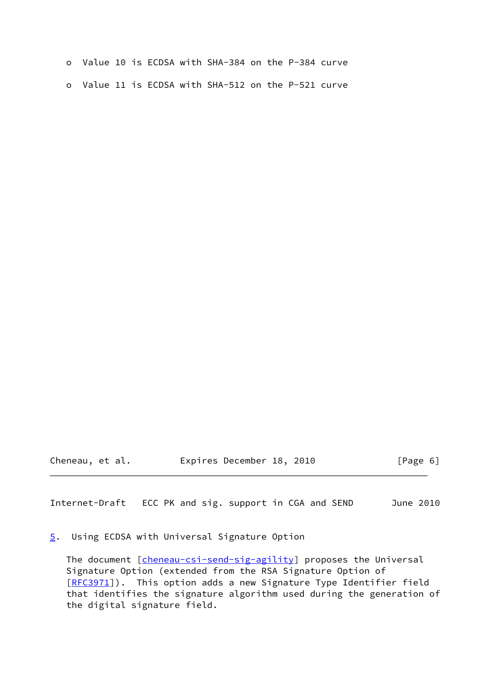|  |  |  | o Value 10 is ECDSA with SHA-384 on the P-384 curve |  |  |
|--|--|--|-----------------------------------------------------|--|--|
|  |  |  | o Value 11 is ECDSA with SHA-512 on the P-521 curve |  |  |

Cheneau, et al. Expires December 18, 2010 [Page 6]

<span id="page-6-1"></span>Internet-Draft ECC PK and sig. support in CGA and SEND June 2010

# <span id="page-6-0"></span>[5](#page-6-0). Using ECDSA with Universal Signature Option

The document [\[cheneau-csi-send-sig-agility](#page-10-4)] proposes the Universal Signature Option (extended from the RSA Signature Option of [\[RFC3971](https://datatracker.ietf.org/doc/pdf/rfc3971)]). This option adds a new Signature Type Identifier field that identifies the signature algorithm used during the generation of the digital signature field.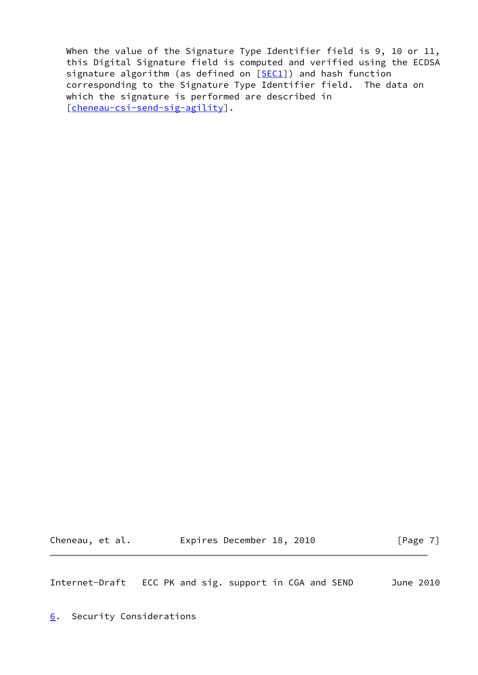When the value of the Signature Type Identifier field is 9, 10 or 11, this Digital Signature field is computed and verified using the ECDSA signature algorithm (as defined on [[SEC1\]](#page-11-1)) and hash function corresponding to the Signature Type Identifier field. The data on which the signature is performed are described in [\[cheneau-csi-send-sig-agility](#page-10-4)].

Cheneau, et al. **Expires December 18, 2010** [Page 7]

<span id="page-7-1"></span>Internet-Draft ECC PK and sig. support in CGA and SEND June 2010

<span id="page-7-0"></span>[6](#page-7-0). Security Considerations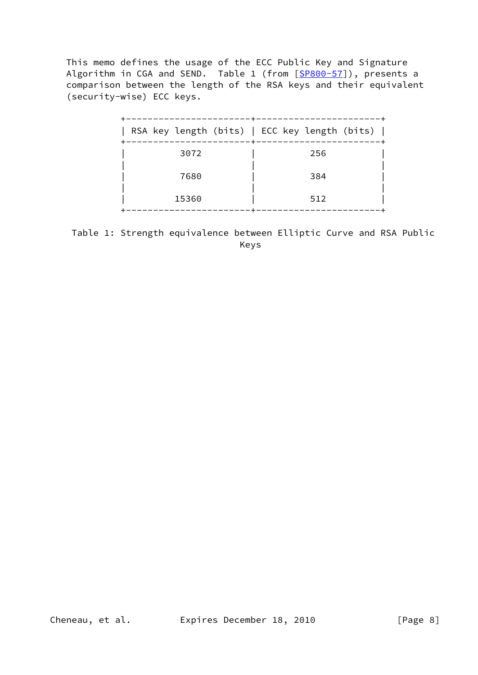This memo defines the usage of the ECC Public Key and Signature Algorithm in CGA and SEND. Table 1 (from [[SP800-57\]](#page-11-2)), presents a comparison between the length of the RSA keys and their equivalent (security-wise) ECC keys.

|       | RSA key length (bits)   ECC key length (bits) |
|-------|-----------------------------------------------|
| 3072  | 256                                           |
| 7680  | 384                                           |
| 15360 | 512                                           |

 Table 1: Strength equivalence between Elliptic Curve and RSA Public Keys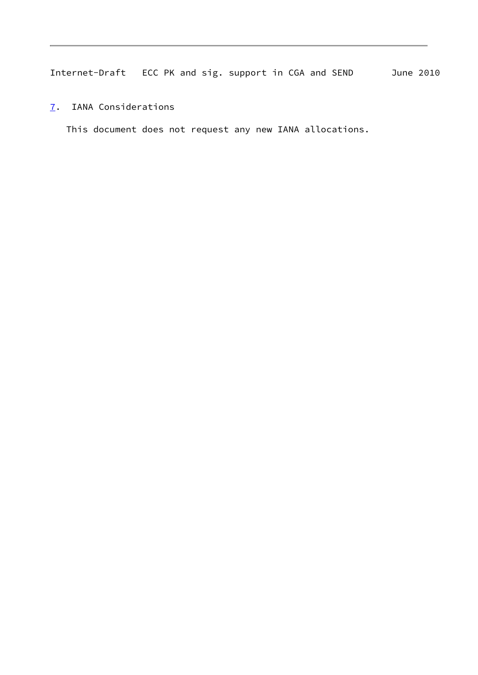# <span id="page-9-1"></span><span id="page-9-0"></span>[7](#page-9-0). IANA Considerations

This document does not request any new IANA allocations.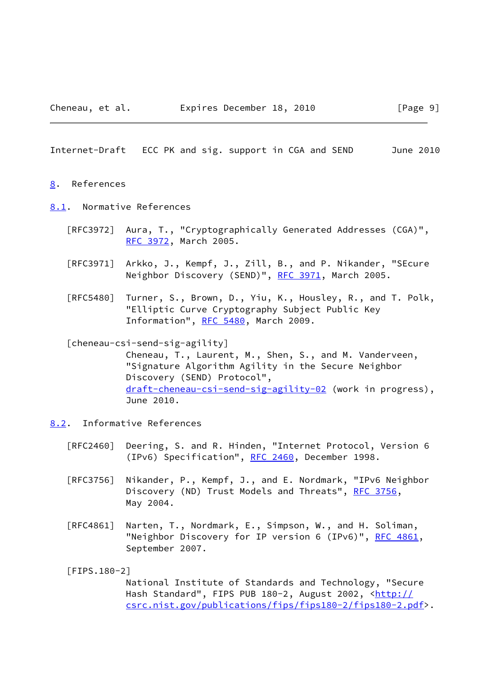#### <span id="page-10-1"></span><span id="page-10-0"></span>[8](#page-10-0). References

- <span id="page-10-2"></span>[8.1](#page-10-2). Normative References
	- [RFC3972] Aura, T., "Cryptographically Generated Addresses (CGA)", [RFC 3972,](https://datatracker.ietf.org/doc/pdf/rfc3972) March 2005.
	- [RFC3971] Arkko, J., Kempf, J., Zill, B., and P. Nikander, "SEcure Neighbor Discovery (SEND)", [RFC 3971,](https://datatracker.ietf.org/doc/pdf/rfc3971) March 2005.
	- [RFC5480] Turner, S., Brown, D., Yiu, K., Housley, R., and T. Polk, "Elliptic Curve Cryptography Subject Public Key Information", [RFC 5480](https://datatracker.ietf.org/doc/pdf/rfc5480), March 2009.

### <span id="page-10-4"></span>[cheneau-csi-send-sig-agility]

 Cheneau, T., Laurent, M., Shen, S., and M. Vanderveen, "Signature Algorithm Agility in the Secure Neighbor Discovery (SEND) Protocol", [draft-cheneau-csi-send-sig-agility-02](https://datatracker.ietf.org/doc/pdf/draft-cheneau-csi-send-sig-agility-02) (work in progress), June 2010.

## <span id="page-10-3"></span>[8.2](#page-10-3). Informative References

- [RFC2460] Deering, S. and R. Hinden, "Internet Protocol, Version 6 (IPv6) Specification", [RFC 2460](https://datatracker.ietf.org/doc/pdf/rfc2460), December 1998.
- [RFC3756] Nikander, P., Kempf, J., and E. Nordmark, "IPv6 Neighbor Discovery (ND) Trust Models and Threats", [RFC 3756](https://datatracker.ietf.org/doc/pdf/rfc3756), May 2004.
- [RFC4861] Narten, T., Nordmark, E., Simpson, W., and H. Soliman, "Neighbor Discovery for IP version 6 (IPv6)", <u>RFC 4861</u>, September 2007.

### [FIPS.180-2]

 National Institute of Standards and Technology, "Secure Hash Standard", FIPS PUB 180-2, August 2002, [<http://](http://csrc.nist.gov/publications/fips/fips180-2/fips180-2.pdf) [csrc.nist.gov/publications/fips/fips180-2/fips180-2.pdf](http://csrc.nist.gov/publications/fips/fips180-2/fips180-2.pdf)>.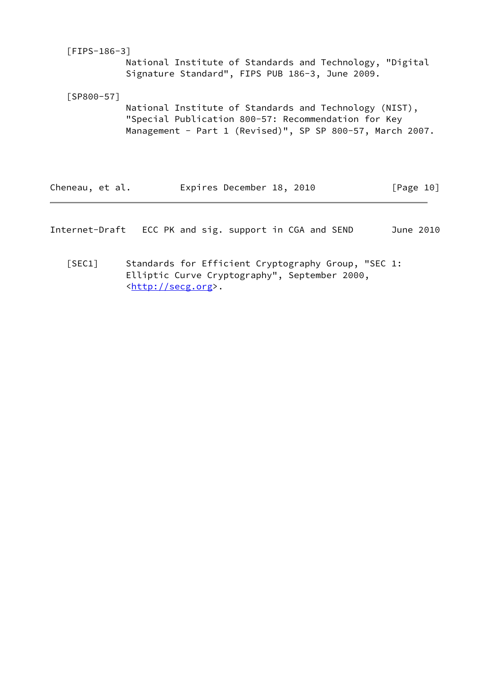<span id="page-11-0"></span> [FIPS-186-3] National Institute of Standards and Technology, "Digital Signature Standard", FIPS PUB 186-3, June 2009. [SP800-57]

<span id="page-11-2"></span> National Institute of Standards and Technology (NIST), "Special Publication 800-57: Recommendation for Key Management - Part 1 (Revised)", SP SP 800-57, March 2007.

| Cheneau, et al. | Expires December 18, 2010 |  | [Page 10] |
|-----------------|---------------------------|--|-----------|
|-----------------|---------------------------|--|-----------|

Internet-Draft ECC PK and sig. support in CGA and SEND June 2010

<span id="page-11-1"></span> [SEC1] Standards for Efficient Cryptography Group, "SEC 1: Elliptic Curve Cryptography", September 2000, <[http://secg.org>](http://secg.org).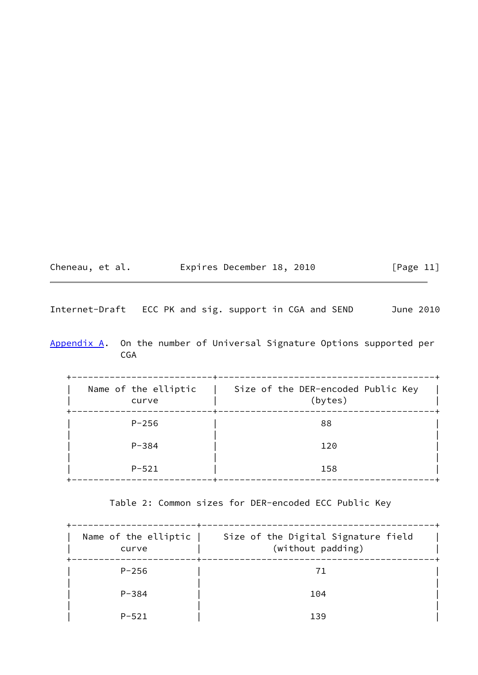<span id="page-12-1"></span>

| Cheneau, et al. | Expires December 18, 2010 | [Page 11] |
|-----------------|---------------------------|-----------|
|                 |                           |           |

<span id="page-12-0"></span>[Appendix A.](#page-12-0) On the number of Universal Signature Options supported per CGA

| Name of the elliptic<br>curve | Size of the DER-encoded Public Key<br>(bytes) |
|-------------------------------|-----------------------------------------------|
| $P - 256$                     | 88                                            |
| $P - 384$                     | 120                                           |
| $P - 521$                     | 158                                           |

Table 2: Common sizes for DER-encoded ECC Public Key

| Name of the elliptic  <br>curve | Size of the Digital Signature field<br>(without padding) |  |
|---------------------------------|----------------------------------------------------------|--|
| $P - 256$                       |                                                          |  |
| $P - 384$                       | 104                                                      |  |
| $P - 521$                       | 139                                                      |  |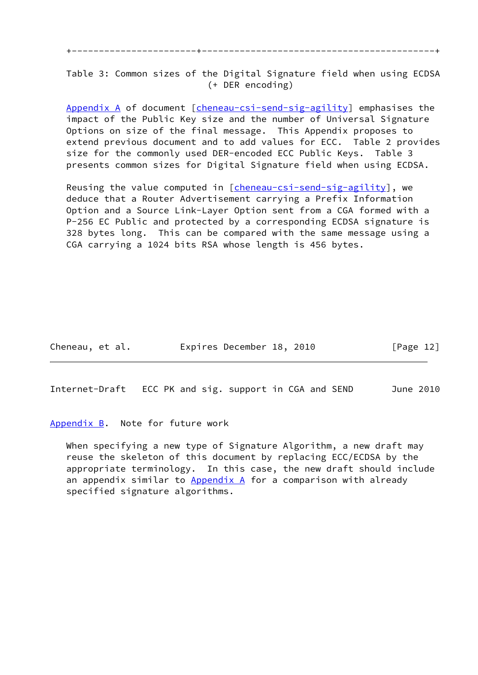#### +-----------------------+-------------------------------------------+

 Table 3: Common sizes of the Digital Signature field when using ECDSA (+ DER encoding)

 [Appendix A](#page-12-0) of document [\[cheneau-csi-send-sig-agility](#page-10-4)] emphasises the impact of the Public Key size and the number of Universal Signature Options on size of the final message. This Appendix proposes to extend previous document and to add values for ECC. Table 2 provides size for the commonly used DER-encoded ECC Public Keys. Table 3 presents common sizes for Digital Signature field when using ECDSA.

Reusing the value computed in [[cheneau-csi-send-sig-agility\]](#page-10-4), we deduce that a Router Advertisement carrying a Prefix Information Option and a Source Link-Layer Option sent from a CGA formed with a P-256 EC Public and protected by a corresponding ECDSA signature is 328 bytes long. This can be compared with the same message using a CGA carrying a 1024 bits RSA whose length is 456 bytes.

Cheneau, et al. **Expires December 18, 2010** [Page 12]

<span id="page-13-1"></span>Internet-Draft ECC PK and sig. support in CGA and SEND June 2010

<span id="page-13-0"></span>[Appendix B.](#page-13-0) Note for future work

 When specifying a new type of Signature Algorithm, a new draft may reuse the skeleton of this document by replacing ECC/ECDSA by the appropriate terminology. In this case, the new draft should include an appendix similar to  $\Delta p$  and  $\Delta p$  for a comparison with already specified signature algorithms.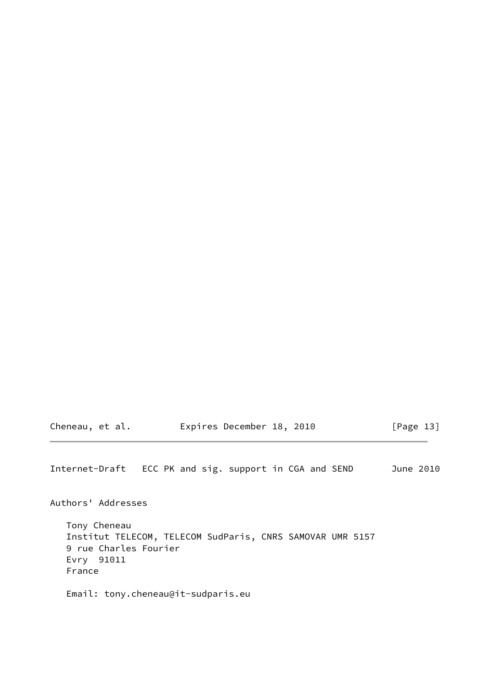Cheneau, et al. **Expires December 18, 2010**[Page 13]

<span id="page-14-0"></span>Internet-Draft ECC PK and sig. support in CGA and SEND June 2010

Authors' Addresses

 Tony Cheneau Institut TELECOM, TELECOM SudParis, CNRS SAMOVAR UMR 5157 9 rue Charles Fourier Evry 91011 France

Email: tony.cheneau@it-sudparis.eu